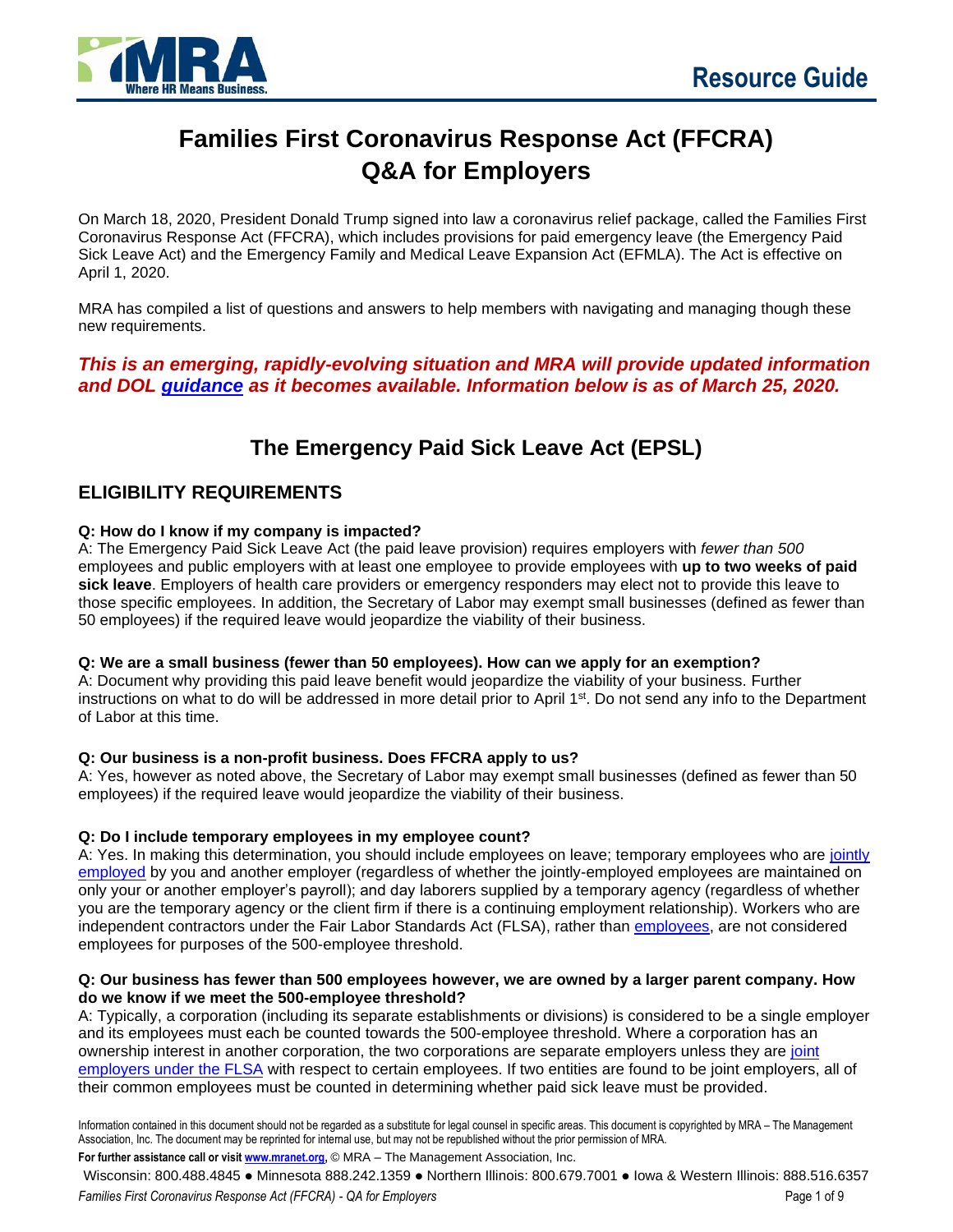

# **Families First Coronavirus Response Act (FFCRA) Q&A for Employers**

On March 18, 2020, President Donald Trump signed into law a coronavirus relief package, called the Families First Coronavirus Response Act (FFCRA), which includes provisions for paid emergency leave (the Emergency Paid Sick Leave Act) and the Emergency Family and Medical Leave Expansion Act (EFMLA). The Act is effective on April 1, 2020.

MRA has compiled a list of questions and answers to help members with navigating and managing though these new requirements.

*This is an emerging, rapidly-evolving situation and MRA will provide updated information and DOL [guidance](https://www.dol.gov/agencies/whd/pandemic/ffcra-questions) as it becomes available. Information below is as of March 25, 2020.*

# **The Emergency Paid Sick Leave Act (EPSL)**

## **ELIGIBILITY REQUIREMENTS**

#### **Q: How do I know if my company is impacted?**

A: The Emergency Paid Sick Leave Act (the paid leave provision) requires employers with *fewer than 500* employees and public employers with at least one employee to provide employees with **up to two weeks of paid sick leave**. Employers of health care providers or emergency responders may elect not to provide this leave to those specific employees. In addition, the Secretary of Labor may exempt small businesses (defined as fewer than 50 employees) if the required leave would jeopardize the viability of their business.

#### **Q: We are a small business (fewer than 50 employees). How can we apply for an exemption?**

A: Document why providing this paid leave benefit would jeopardize the viability of your business. Further instructions on what to do will be addressed in more detail prior to April 1<sup>st</sup>. Do not send any info to the Department of Labor at this time.

#### **Q: Our business is a non-profit business. Does FFCRA apply to us?**

A: Yes, however as noted above, the Secretary of Labor may exempt small businesses (defined as fewer than 50 employees) if the required leave would jeopardize the viability of their business.

#### **Q: Do I include temporary employees in my employee count?**

A: Yes. In making this determination, you should include employees on leave; temporary employees who are [jointly](https://www.dol.gov/agencies/whd/flsa/2020-joint-employment/fact-sheet)  [employed](https://www.dol.gov/agencies/whd/flsa/2020-joint-employment/fact-sheet) by you and another employer (regardless of whether the jointly-employed employees are maintained on only your or another employer's payroll); and day laborers supplied by a temporary agency (regardless of whether you are the temporary agency or the client firm if there is a continuing employment relationship). Workers who are independent contractors under the Fair Labor Standards Act (FLSA), rather than [employees,](https://www.dol.gov/agencies/whd/fact-sheets/13-flsa-employment-relationship) are not considered employees for purposes of the 500-employee threshold.

#### **Q: Our business has fewer than 500 employees however, we are owned by a larger parent company. How do we know if we meet the 500-employee threshold?**

A: Typically, a corporation (including its separate establishments or divisions) is considered to be a single employer and its employees must each be counted towards the 500-employee threshold. Where a corporation has an ownership interest in another corporation, the two corporations are separate employers unless they are [joint](https://www.dol.gov/agencies/whd/flsa/2020-joint-employment/fact-sheet)  [employers under the FLSA](https://www.dol.gov/agencies/whd/flsa/2020-joint-employment/fact-sheet) with respect to certain employees. If two entities are found to be joint employers, all of their common employees must be counted in determining whether paid sick leave must be provided.

Information contained in this document should not be regarded as a substitute for legal counsel in specific areas. This document is copyrighted by MRA – The Management Association, Inc. The document may be reprinted for internal use, but may not be republished without the prior permission of MRA.

**For further assistance call or visi[t www.mranet.org,](http://www.mranet.org/)** © MRA – The Management Association, Inc.

Wisconsin: 800.488.4845 ⚫ Minnesota 888.242.1359 ⚫ Northern Illinois: 800.679.7001 ⚫ Iowa & Western Illinois: 888.516.6357 *Families First Coronavirus Response Act (FFCRA) - QA for Employers* Page 1 of 9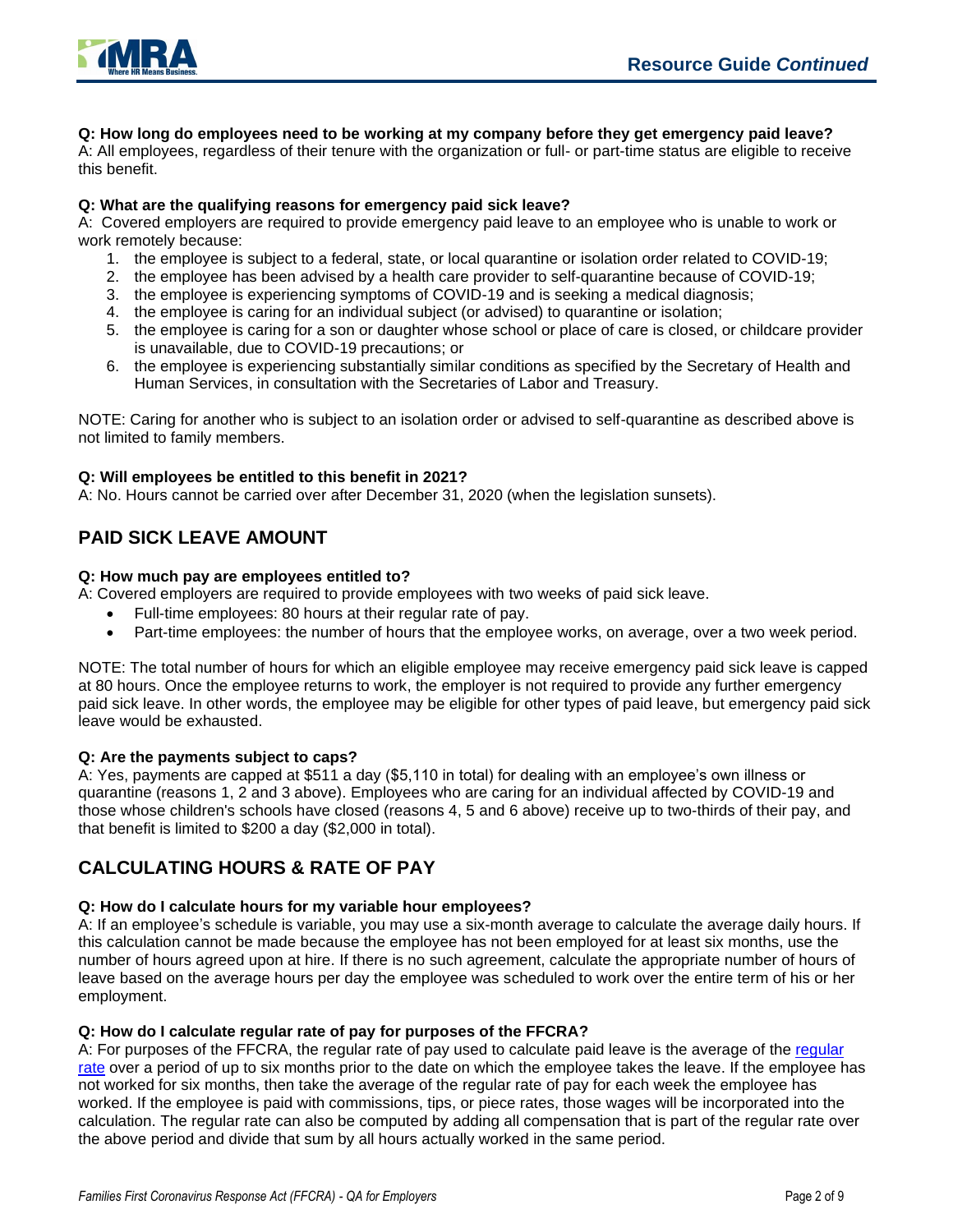

**Q: How long do employees need to be working at my company before they get emergency paid leave?** 

A: All employees, regardless of their tenure with the organization or full- or part-time status are eligible to receive this benefit.

#### **Q: What are the qualifying reasons for emergency paid sick leave?**

A: Covered employers are required to provide emergency paid leave to an employee who is unable to work or work remotely because:

- 1. the employee is subject to a federal, state, or local quarantine or isolation order related to COVID-19;
- 2. the employee has been advised by a health care provider to self-quarantine because of COVID-19;
- 3. the employee is experiencing symptoms of COVID-19 and is seeking a medical diagnosis;
- 4. the employee is caring for an individual subject (or advised) to quarantine or isolation;
- 5. the employee is caring for a son or daughter whose school or place of care is closed, or childcare provider is unavailable, due to COVID-19 precautions; or
- 6. the employee is experiencing substantially similar conditions as specified by the Secretary of Health and Human Services, in consultation with the Secretaries of Labor and Treasury.

NOTE: Caring for another who is subject to an isolation order or advised to self-quarantine as described above is not limited to family members.

#### **Q: Will employees be entitled to this benefit in 2021?**

A: No. Hours cannot be carried over after December 31, 2020 (when the legislation sunsets).

# **PAID SICK LEAVE AMOUNT**

#### **Q: How much pay are employees entitled to?**

A: Covered employers are required to provide employees with two weeks of paid sick leave.

- Full-time employees: 80 hours at their regular rate of pay.
- Part-time employees: the number of hours that the employee works, on average, over a two week period.

NOTE: The total number of hours for which an eligible employee may receive emergency paid sick leave is capped at 80 hours. Once the employee returns to work, the employer is not required to provide any further emergency paid sick leave. In other words, the employee may be eligible for other types of paid leave, but emergency paid sick leave would be exhausted.

#### **Q: Are the payments subject to caps?**

A: Yes, payments are capped at \$511 a day (\$5,110 in total) for dealing with an employee's own illness or quarantine (reasons 1, 2 and 3 above). Employees who are caring for an individual affected by COVID-19 and those whose children's schools have closed (reasons 4, 5 and 6 above) receive up to two-thirds of their pay, and that benefit is limited to \$200 a day (\$2,000 in total).

## **CALCULATING HOURS & RATE OF PAY**

#### **Q: How do I calculate hours for my variable hour employees?**

A: If an employee's schedule is variable, you may use a six-month average to calculate the average daily hours. If this calculation cannot be made because the employee has not been employed for at least six months, use the number of hours agreed upon at hire. If there is no such agreement, calculate the appropriate number of hours of leave based on the average hours per day the employee was scheduled to work over the entire term of his or her employment.

#### **Q: How do I calculate regular rate of pay for purposes of the FFCRA?**

A: For purposes of the FFCRA, the [regular](https://www.dol.gov/agencies/whd/fact-sheets/56a-regular-rate) rate of pay used to calculate paid leave is the average of the regular [rate](https://www.dol.gov/agencies/whd/fact-sheets/56a-regular-rate) over a period of up to six months prior to the date on which the employee takes the leave. If the employee has not worked for six months, then take the average of the regular rate of pay for each week the employee has worked. If the employee is paid with commissions, tips, or piece rates, those wages will be incorporated into the calculation. The regular rate can also be computed by adding all compensation that is part of the regular rate over the above period and divide that sum by all hours actually worked in the same period.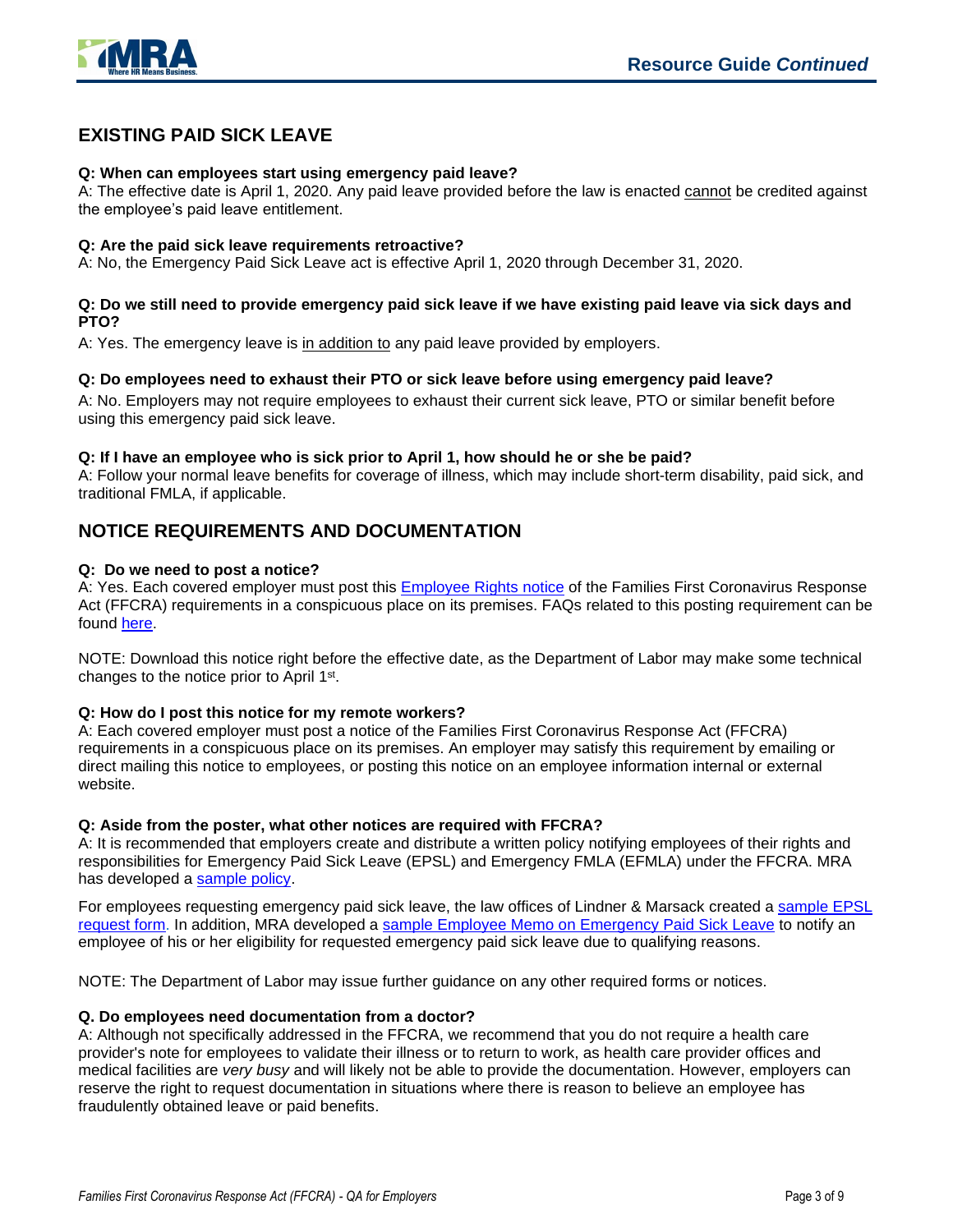

# **EXISTING PAID SICK LEAVE**

#### **Q: When can employees start using emergency paid leave?**

A: The effective date is April 1, 2020. Any paid leave provided before the law is enacted cannot be credited against the employee's paid leave entitlement.

#### **Q: Are the paid sick leave requirements retroactive?**

A: No, the Emergency Paid Sick Leave act is effective April 1, 2020 through December 31, 2020.

#### **Q: Do we still need to provide emergency paid sick leave if we have existing paid leave via sick days and PTO?**

A: Yes. The emergency leave is in addition to any paid leave provided by employers.

#### **Q: Do employees need to exhaust their PTO or sick leave before using emergency paid leave?**

A: No. Employers may not require employees to exhaust their current sick leave, PTO or similar benefit before using this emergency paid sick leave.

#### **Q: If I have an employee who is sick prior to April 1, how should he or she be paid?**

A: Follow your normal leave benefits for coverage of illness, which may include short-term disability, paid sick, and traditional FMLA, if applicable.

## **NOTICE REQUIREMENTS AND DOCUMENTATION**

#### **Q: Do we need to post a notice?**

A: Yes. Each covered employer must post this [Employee Rights](https://www.dol.gov/sites/dolgov/files/WHD/posters/FFCRA_Poster_WH1422_Non-Federal.pdf) notice of the Families First Coronavirus Response Act (FFCRA) requirements in a conspicuous place on its premises. FAQs related to this posting requirement can be found [here.](https://www.dol.gov/agencies/whd/pandemic/ffcra-poster-questions)

NOTE: Download this notice right before the effective date, as the Department of Labor may make some technical changes to the notice prior to April 1<sup>st</sup>.

#### **Q: How do I post this notice for my remote workers?**

A: Each covered employer must post a notice of the Families First Coronavirus Response Act (FFCRA) requirements in a conspicuous place on its premises. An employer may satisfy this requirement by emailing or direct mailing this notice to employees, or posting this notice on an employee information internal or external website.

#### **Q: Aside from the poster, what other notices are required with FFCRA?**

A: It is recommended that employers create and distribute a written policy notifying employees of their rights and responsibilities for Emergency Paid Sick Leave (EPSL) and Emergency FMLA (EFMLA) under the FFCRA. MRA has developed a [sample policy.](https://www.mranet.org/resource/families-first-coronavirus-response-act-ffcra-policy)

For employees requesting emergency paid sick leave, the law offices of Lindner & Marsack created a [sample EPSL](https://www.mranet.org/resource/request-form-emergency-paid-sick-leave-epsl)  [request form.](https://www.mranet.org/resource/request-form-emergency-paid-sick-leave-epsl) In addition, MRA developed a sample Employee Memo on [Emergency Paid Sick Leave](https://www.mranet.org/resource/memo-employee-emergency-paid-sick-leave-under-ffcra) to notify an employee of his or her eligibility for requested emergency paid sick leave due to qualifying reasons.

NOTE: The Department of Labor may issue further guidance on any other required forms or notices.

#### **Q. Do employees need documentation from a doctor?**

A: Although not specifically addressed in the FFCRA, we recommend that you do not require a health care provider's note for employees to validate their illness or to return to work, as health care provider offices and medical facilities are *very busy* and will likely not be able to provide the documentation. However, employers can reserve the right to request documentation in situations where there is reason to believe an employee has fraudulently obtained leave or paid benefits.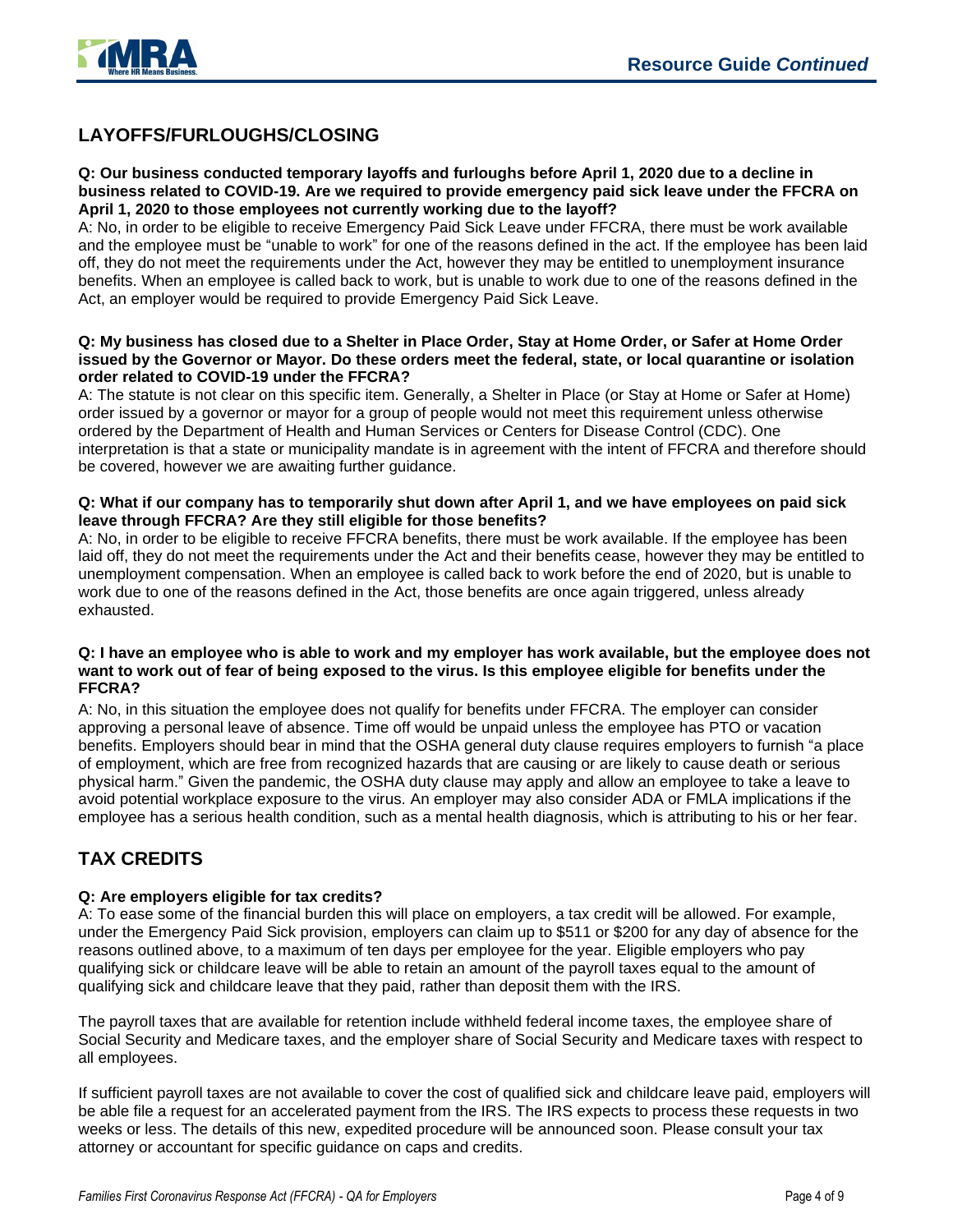

# **LAYOFFS/FURLOUGHS/CLOSING**

#### **Q: Our business conducted temporary layoffs and furloughs before April 1, 2020 due to a decline in business related to COVID-19. Are we required to provide emergency paid sick leave under the FFCRA on April 1, 2020 to those employees not currently working due to the layoff?**

A: No, in order to be eligible to receive Emergency Paid Sick Leave under FFCRA, there must be work available and the employee must be "unable to work" for one of the reasons defined in the act. If the employee has been laid off, they do not meet the requirements under the Act, however they may be entitled to unemployment insurance benefits. When an employee is called back to work, but is unable to work due to one of the reasons defined in the Act, an employer would be required to provide Emergency Paid Sick Leave.

#### **Q: My business has closed due to a Shelter in Place Order, Stay at Home Order, or Safer at Home Order issued by the Governor or Mayor. Do these orders meet the federal, state, or local quarantine or isolation order related to COVID-19 under the FFCRA?**

A: The statute is not clear on this specific item. Generally, a Shelter in Place (or Stay at Home or Safer at Home) order issued by a governor or mayor for a group of people would not meet this requirement unless otherwise ordered by the Department of Health and Human Services or Centers for Disease Control (CDC). One interpretation is that a state or municipality mandate is in agreement with the intent of FFCRA and therefore should be covered, however we are awaiting further guidance.

#### **Q: What if our company has to temporarily shut down after April 1, and we have employees on paid sick leave through FFCRA? Are they still eligible for those benefits?**

A: No, in order to be eligible to receive FFCRA benefits, there must be work available. If the employee has been laid off, they do not meet the requirements under the Act and their benefits cease, however they may be entitled to unemployment compensation. When an employee is called back to work before the end of 2020, but is unable to work due to one of the reasons defined in the Act, those benefits are once again triggered, unless already exhausted.

#### **Q: I have an employee who is able to work and my employer has work available, but the employee does not want to work out of fear of being exposed to the virus. Is this employee eligible for benefits under the FFCRA?**

A: No, in this situation the employee does not qualify for benefits under FFCRA. The employer can consider approving a personal leave of absence. Time off would be unpaid unless the employee has PTO or vacation benefits. Employers should bear in mind that the OSHA general duty clause requires employers to furnish "a place of employment, which are free from recognized hazards that are causing or are likely to cause death or serious physical harm." Given the pandemic, the OSHA duty clause may apply and allow an employee to take a leave to avoid potential workplace exposure to the virus. An employer may also consider ADA or FMLA implications if the employee has a serious health condition, such as a mental health diagnosis, which is attributing to his or her fear.

# **TAX CREDITS**

#### **Q: Are employers eligible for tax credits?**

A: To ease some of the financial burden this will place on employers, a tax credit will be allowed. For example, under the Emergency Paid Sick provision, employers can claim up to \$511 or \$200 for any day of absence for the reasons outlined above, to a maximum of ten days per employee for the year. Eligible employers who pay qualifying sick or childcare leave will be able to retain an amount of the payroll taxes equal to the amount of qualifying sick and childcare leave that they paid, rather than deposit them with the IRS.

The payroll taxes that are available for retention include withheld federal income taxes, the employee share of Social Security and Medicare taxes, and the employer share of Social Security and Medicare taxes with respect to all employees.

If sufficient payroll taxes are not available to cover the cost of qualified sick and childcare leave paid, employers will be able file a request for an accelerated payment from the IRS. The IRS expects to process these requests in two weeks or less. The details of this new, expedited procedure will be announced soon. Please consult your tax attorney or accountant for specific guidance on caps and credits.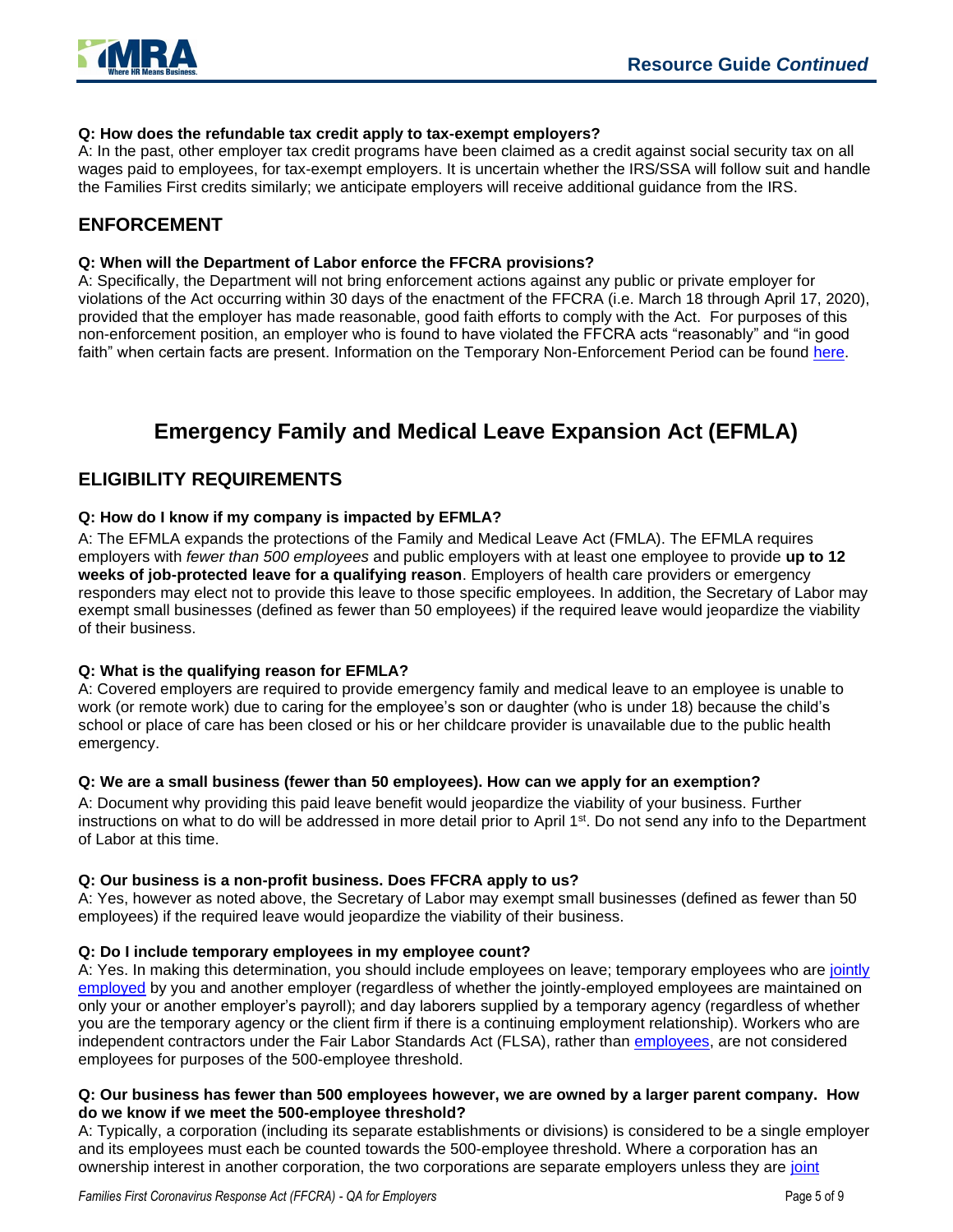

#### **Q: How does the refundable tax credit apply to tax-exempt employers?**

A: In the past, other employer tax credit programs have been claimed as a credit against social security tax on all wages paid to employees, for tax-exempt employers. It is uncertain whether the IRS/SSA will follow suit and handle the Families First credits similarly; we anticipate employers will receive additional guidance from the IRS.

### **ENFORCEMENT**

#### **Q: When will the Department of Labor enforce the FFCRA provisions?**

A: Specifically, the Department will not bring enforcement actions against any public or private employer for violations of the Act occurring within 30 days of the enactment of the FFCRA (i.e. March 18 through April 17, 2020), provided that the employer has made reasonable, good faith efforts to comply with the Act. For purposes of this non-enforcement position, an employer who is found to have violated the FFCRA acts "reasonably" and "in good faith" when certain facts are present. Information on the Temporary Non-Enforcement Period can be found [here.](https://www.dol.gov/agencies/whd/field-assistance-bulletins/2020-1)

# **Emergency Family and Medical Leave Expansion Act (EFMLA)**

### **ELIGIBILITY REQUIREMENTS**

#### **Q: How do I know if my company is impacted by EFMLA?**

A: The EFMLA expands the protections of the Family and Medical Leave Act (FMLA). The EFMLA requires employers with *fewer than 500 employees* and public employers with at least one employee to provide **up to 12 weeks of job-protected leave for a qualifying reason**. Employers of health care providers or emergency responders may elect not to provide this leave to those specific employees. In addition, the Secretary of Labor may exempt small businesses (defined as fewer than 50 employees) if the required leave would jeopardize the viability of their business.

#### **Q: What is the qualifying reason for EFMLA?**

A: Covered employers are required to provide emergency family and medical leave to an employee is unable to work (or remote work) due to caring for the employee's son or daughter (who is under 18) because the child's school or place of care has been closed or his or her childcare provider is unavailable due to the public health emergency.

#### **Q: We are a small business (fewer than 50 employees). How can we apply for an exemption?**

A: Document why providing this paid leave benefit would jeopardize the viability of your business. Further instructions on what to do will be addressed in more detail prior to April 1<sup>st</sup>. Do not send any info to the Department of Labor at this time.

#### **Q: Our business is a non-profit business. Does FFCRA apply to us?**

A: Yes, however as noted above, the Secretary of Labor may exempt small businesses (defined as fewer than 50 employees) if the required leave would jeopardize the viability of their business.

#### **Q: Do I include temporary employees in my employee count?**

A: Yes. In making this determination, you should include employees on leave; temporary employees who are [jointly](https://www.dol.gov/agencies/whd/flsa/2020-joint-employment/fact-sheet)  [employed](https://www.dol.gov/agencies/whd/flsa/2020-joint-employment/fact-sheet) by you and another employer (regardless of whether the jointly-employed employees are maintained on only your or another employer's payroll); and day laborers supplied by a temporary agency (regardless of whether you are the temporary agency or the client firm if there is a continuing employment relationship). Workers who are independent contractors under the Fair Labor Standards Act (FLSA), rather than [employees,](https://www.dol.gov/agencies/whd/fact-sheets/13-flsa-employment-relationship) are not considered employees for purposes of the 500-employee threshold.

#### **Q: Our business has fewer than 500 employees however, we are owned by a larger parent company. How do we know if we meet the 500-employee threshold?**

A: Typically, a corporation (including its separate establishments or divisions) is considered to be a single employer and its employees must each be counted towards the 500-employee threshold. Where a corporation has an ownership interest in another corporation, the two corporations are separate employers unless they are [joint](https://www.dol.gov/agencies/whd/flsa/2020-joint-employment/fact-sheet)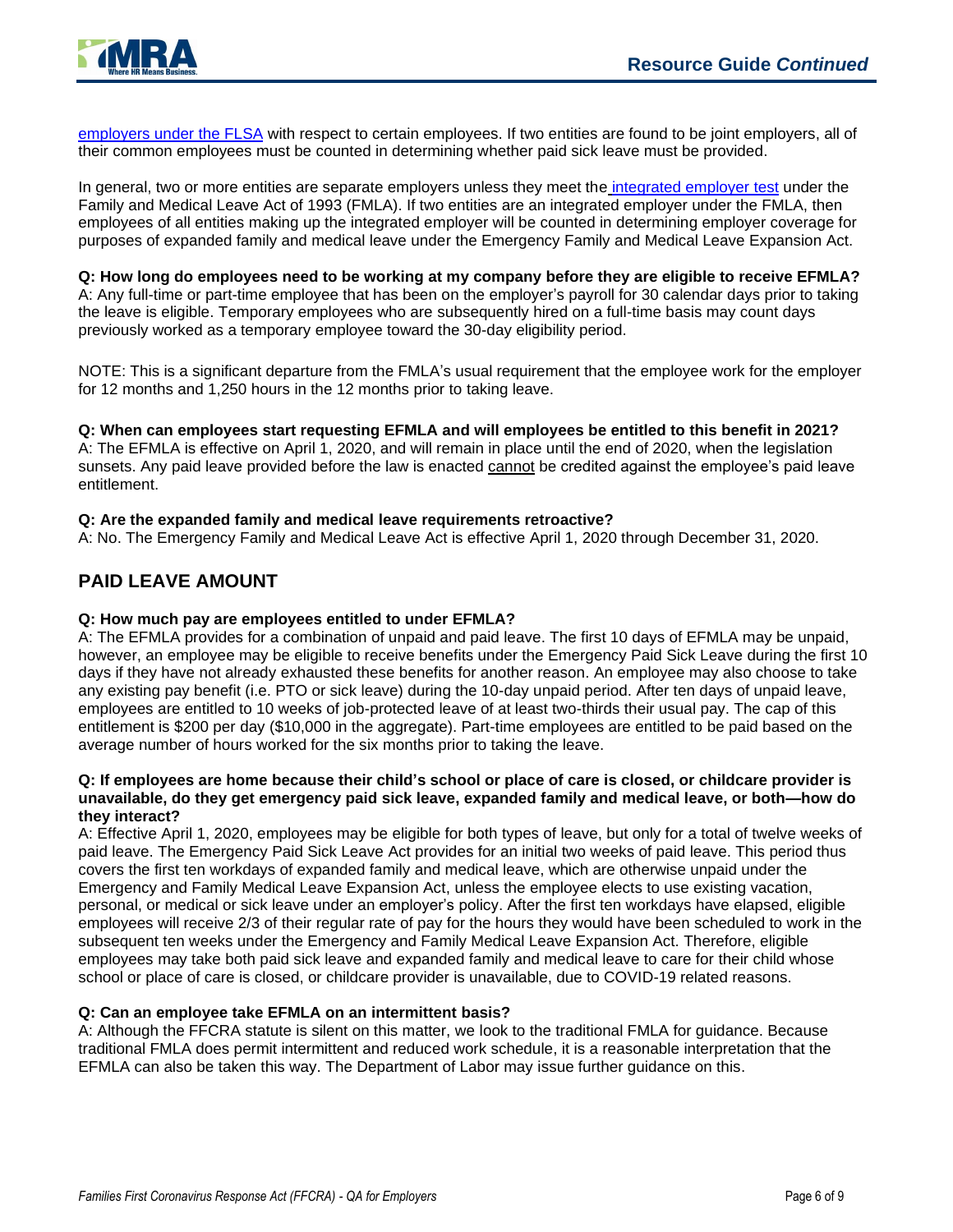

[employers under the FLSA](https://www.dol.gov/agencies/whd/flsa/2020-joint-employment/fact-sheet) with respect to certain employees. If two entities are found to be joint employers, all of their common employees must be counted in determining whether paid sick leave must be provided.

In general, two or more entities are separate employers unless they meet the [integrated employer test](https://www.dol.gov/sites/dolgov/files/WHD/legacy/files/FOH_Ch39.pdf) under the Family and Medical Leave Act of 1993 (FMLA). If two entities are an integrated employer under the FMLA, then employees of all entities making up the integrated employer will be counted in determining employer coverage for purposes of expanded family and medical leave under the Emergency Family and Medical Leave Expansion Act.

#### **Q: How long do employees need to be working at my company before they are eligible to receive EFMLA?**

A: Any full-time or part-time employee that has been on the employer's payroll for 30 calendar days prior to taking the leave is eligible. Temporary employees who are subsequently hired on a full-time basis may count days previously worked as a temporary employee toward the 30-day eligibility period.

NOTE: This is a significant departure from the FMLA's usual requirement that the employee work for the employer for 12 months and 1,250 hours in the 12 months prior to taking leave.

#### **Q: When can employees start requesting EFMLA and will employees be entitled to this benefit in 2021?**

A: The EFMLA is effective on April 1, 2020, and will remain in place until the end of 2020, when the legislation sunsets. Any paid leave provided before the law is enacted cannot be credited against the employee's paid leave entitlement.

#### **Q: Are the expanded family and medical leave requirements retroactive?**

A: No. The Emergency Family and Medical Leave Act is effective April 1, 2020 through December 31, 2020.

### **PAID LEAVE AMOUNT**

#### **Q: How much pay are employees entitled to under EFMLA?**

A: The EFMLA provides for a combination of unpaid and paid leave. The first 10 days of EFMLA may be unpaid, however, an employee may be eligible to receive benefits under the Emergency Paid Sick Leave during the first 10 days if they have not already exhausted these benefits for another reason. An employee may also choose to take any existing pay benefit (i.e. PTO or sick leave) during the 10-day unpaid period. After ten days of unpaid leave, employees are entitled to 10 weeks of job-protected leave of at least two-thirds their usual pay. The cap of this entitlement is \$200 per day (\$10,000 in the aggregate). Part-time employees are entitled to be paid based on the average number of hours worked for the six months prior to taking the leave.

#### **Q: If employees are home because their child's school or place of care is closed, or childcare provider is unavailable, do they get emergency paid sick leave, expanded family and medical leave, or both—how do they interact?**

A: Effective April 1, 2020, employees may be eligible for both types of leave, but only for a total of twelve weeks of paid leave. The Emergency Paid Sick Leave Act provides for an initial two weeks of paid leave. This period thus covers the first ten workdays of expanded family and medical leave, which are otherwise unpaid under the Emergency and Family Medical Leave Expansion Act, unless the employee elects to use existing vacation, personal, or medical or sick leave under an employer's policy. After the first ten workdays have elapsed, eligible employees will receive 2/3 of their regular rate of pay for the hours they would have been scheduled to work in the subsequent ten weeks under the Emergency and Family Medical Leave Expansion Act. Therefore, eligible employees may take both paid sick leave and expanded family and medical leave to care for their child whose school or place of care is closed, or childcare provider is unavailable, due to COVID-19 related reasons.

#### **Q: Can an employee take EFMLA on an intermittent basis?**

A: Although the FFCRA statute is silent on this matter, we look to the traditional FMLA for guidance. Because traditional FMLA does permit intermittent and reduced work schedule, it is a reasonable interpretation that the EFMLA can also be taken this way. The Department of Labor may issue further guidance on this.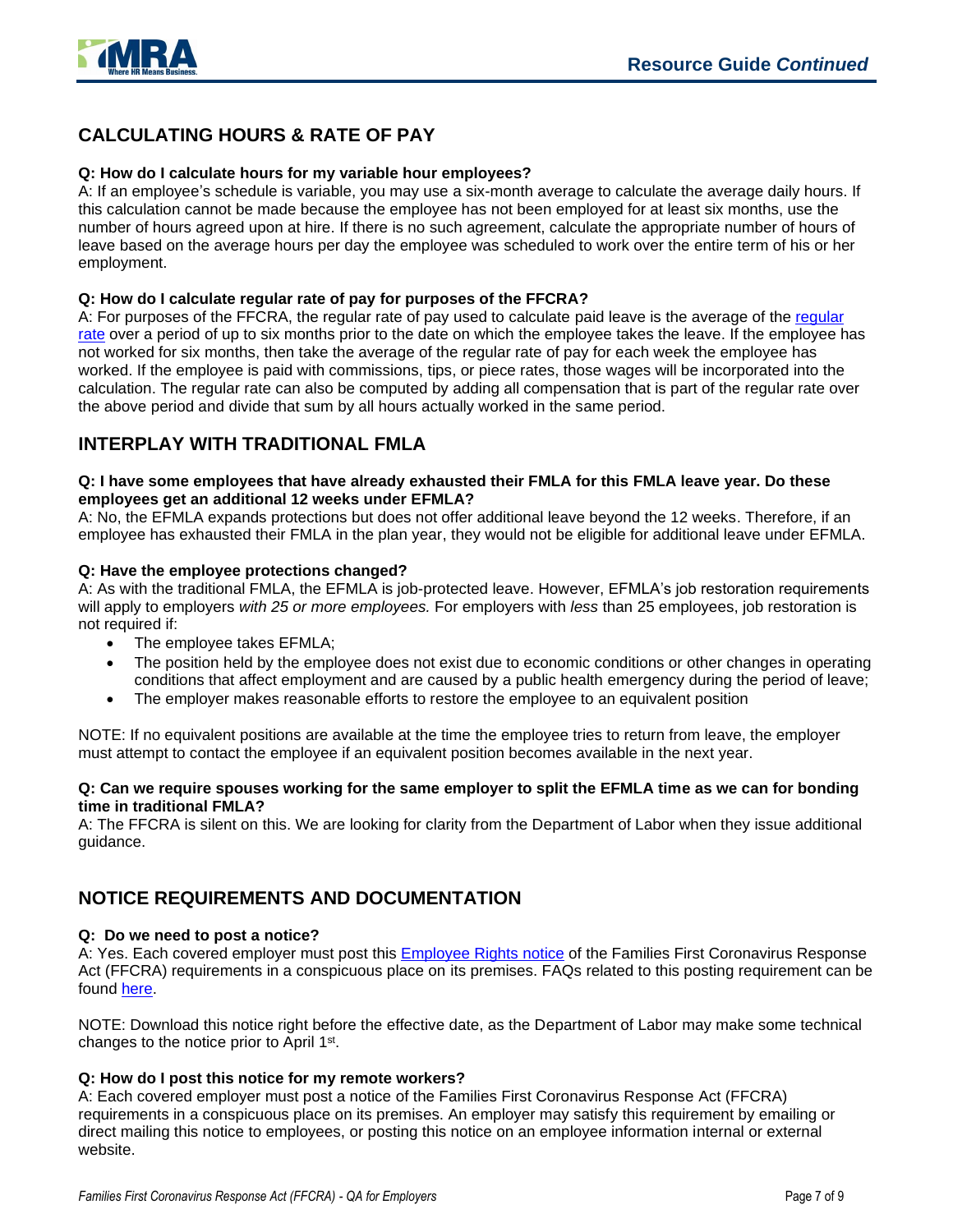



# **CALCULATING HOURS & RATE OF PAY**

#### **Q: How do I calculate hours for my variable hour employees?**

A: If an employee's schedule is variable, you may use a six-month average to calculate the average daily hours. If this calculation cannot be made because the employee has not been employed for at least six months, use the number of hours agreed upon at hire. If there is no such agreement, calculate the appropriate number of hours of leave based on the average hours per day the employee was scheduled to work over the entire term of his or her employment.

#### **Q: How do I calculate regular rate of pay for purposes of the FFCRA?**

A: For purposes of the FFCRA, the regular rate of pay used to calculate paid leave is the average of the [regular](https://www.dol.gov/agencies/whd/fact-sheets/56a-regular-rate)  [rate](https://www.dol.gov/agencies/whd/fact-sheets/56a-regular-rate) over a period of up to six months prior to the date on which the employee takes the leave. If the employee has not worked for six months, then take the average of the regular rate of pay for each week the employee has worked. If the employee is paid with commissions, tips, or piece rates, those wages will be incorporated into the calculation. The regular rate can also be computed by adding all compensation that is part of the regular rate over the above period and divide that sum by all hours actually worked in the same period.

### **INTERPLAY WITH TRADITIONAL FMLA**

#### **Q: I have some employees that have already exhausted their FMLA for this FMLA leave year. Do these employees get an additional 12 weeks under EFMLA?**

A: No, the EFMLA expands protections but does not offer additional leave beyond the 12 weeks. Therefore, if an employee has exhausted their FMLA in the plan year, they would not be eligible for additional leave under EFMLA.

#### **Q: Have the employee protections changed?**

A: As with the traditional FMLA, the EFMLA is job-protected leave. However, EFMLA's job restoration requirements will apply to employers *with 25 or more employees.* For employers with *less* than 25 employees, job restoration is not required if:

- The employee takes EFMLA;
- The position held by the employee does not exist due to economic conditions or other changes in operating conditions that affect employment and are caused by a public health emergency during the period of leave;
- The employer makes reasonable efforts to restore the employee to an equivalent position

NOTE: If no equivalent positions are available at the time the employee tries to return from leave, the employer must attempt to contact the employee if an equivalent position becomes available in the next year.

#### **Q: Can we require spouses working for the same employer to split the EFMLA time as we can for bonding time in traditional FMLA?**

A: The FFCRA is silent on this. We are looking for clarity from the Department of Labor when they issue additional guidance.

## **NOTICE REQUIREMENTS AND DOCUMENTATION**

#### **Q: Do we need to post a notice?**

A: Yes. Each covered employer must post this [Employee Rights](https://www.dol.gov/sites/dolgov/files/WHD/posters/FFCRA_Poster_WH1422_Non-Federal.pdf) notice of the Families First Coronavirus Response Act (FFCRA) requirements in a conspicuous place on its premises. FAQs related to this posting requirement can be found [here.](https://www.dol.gov/agencies/whd/pandemic/ffcra-poster-questions)

NOTE: Download this notice right before the effective date, as the Department of Labor may make some technical changes to the notice prior to April 1<sup>st</sup>.

#### **Q: How do I post this notice for my remote workers?**

A: Each covered employer must post a notice of the Families First Coronavirus Response Act (FFCRA) requirements in a conspicuous place on its premises. An employer may satisfy this requirement by emailing or direct mailing this notice to employees, or posting this notice on an employee information internal or external website.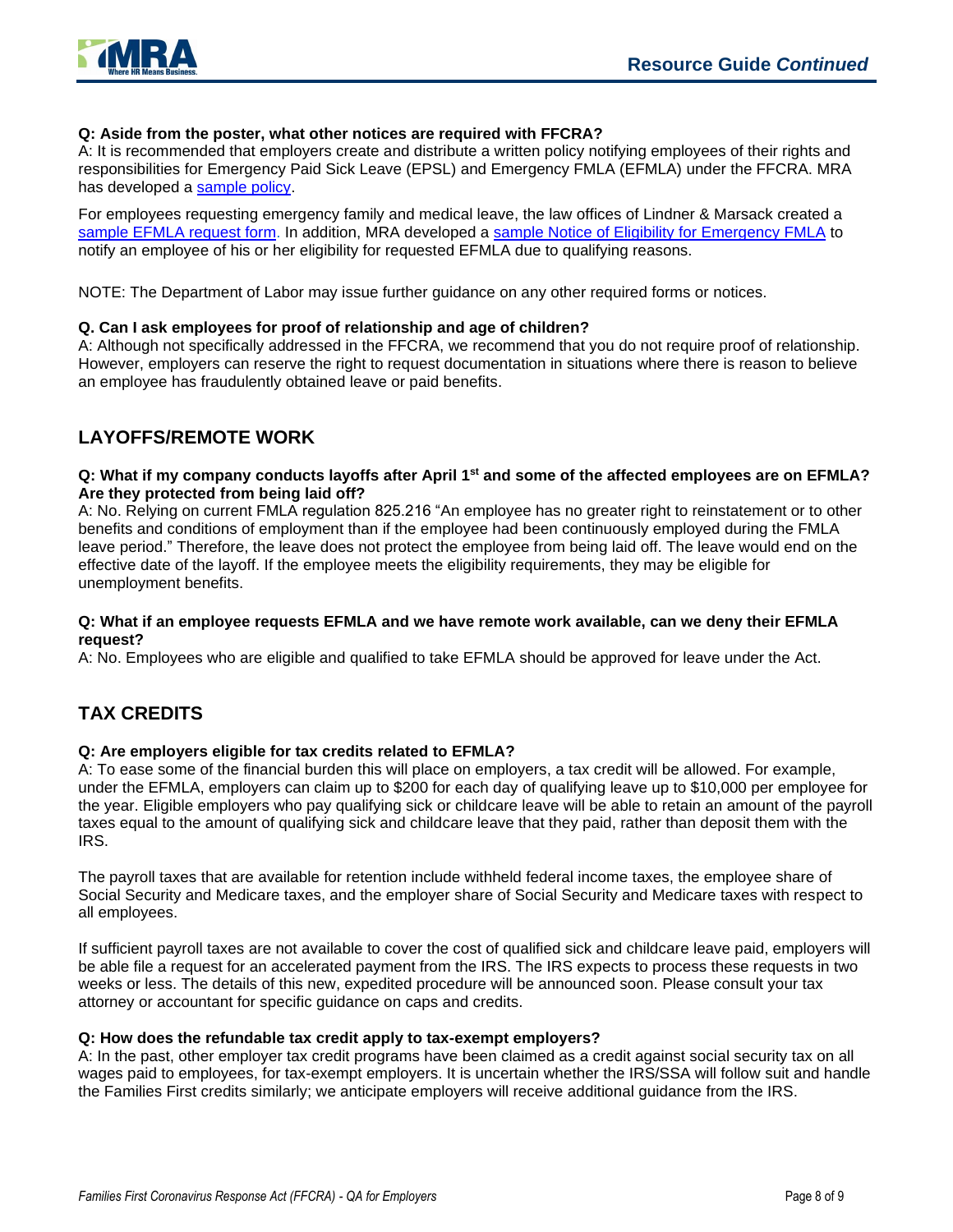

#### **Q: Aside from the poster, what other notices are required with FFCRA?**

A: It is recommended that employers create and distribute a written policy notifying employees of their rights and responsibilities for Emergency Paid Sick Leave (EPSL) and Emergency FMLA (EFMLA) under the FFCRA. MRA has developed a [sample policy.](https://www.mranet.org/resource/families-first-coronavirus-response-act-ffcra-policy)

For employees requesting emergency family and medical leave, the law offices of Lindner & Marsack created a [sample EFMLA request form.](https://www.mranet.org/resource/request-form-emergency-family-and-medical-leave-act-efmla) In addition, MRA developed a [sample Notice of Eligibility for Emergency FMLA](https://www.mranet.org/resource/notice-leave-eligibility-emergency-family-and-medical-leave-efmla-under-ffcra) to notify an employee of his or her eligibility for requested EFMLA due to qualifying reasons.

NOTE: The Department of Labor may issue further guidance on any other required forms or notices.

#### **Q. Can I ask employees for proof of relationship and age of children?**

A: Although not specifically addressed in the FFCRA, we recommend that you do not require proof of relationship. However, employers can reserve the right to request documentation in situations where there is reason to believe an employee has fraudulently obtained leave or paid benefits.

# **LAYOFFS/REMOTE WORK**

#### **Q: What if my company conducts layoffs after April 1st and some of the affected employees are on EFMLA? Are they protected from being laid off?**

A: No. Relying on current FMLA regulation 825.216 "An employee has no greater right to reinstatement or to other benefits and conditions of employment than if the employee had been continuously employed during the FMLA leave period." Therefore, the leave does not protect the employee from being laid off. The leave would end on the effective date of the layoff. If the employee meets the eligibility requirements, they may be eligible for unemployment benefits.

#### **Q: What if an employee requests EFMLA and we have remote work available, can we deny their EFMLA request?**

A: No. Employees who are eligible and qualified to take EFMLA should be approved for leave under the Act.

# **TAX CREDITS**

#### **Q: Are employers eligible for tax credits related to EFMLA?**

A: To ease some of the financial burden this will place on employers, a tax credit will be allowed. For example, under the EFMLA, employers can claim up to \$200 for each day of qualifying leave up to \$10,000 per employee for the year. Eligible employers who pay qualifying sick or childcare leave will be able to retain an amount of the payroll taxes equal to the amount of qualifying sick and childcare leave that they paid, rather than deposit them with the IRS.

The payroll taxes that are available for retention include withheld federal income taxes, the employee share of Social Security and Medicare taxes, and the employer share of Social Security and Medicare taxes with respect to all employees.

If sufficient payroll taxes are not available to cover the cost of qualified sick and childcare leave paid, employers will be able file a request for an accelerated payment from the IRS. The IRS expects to process these requests in two weeks or less. The details of this new, expedited procedure will be announced soon. Please consult your tax attorney or accountant for specific guidance on caps and credits.

#### **Q: How does the refundable tax credit apply to tax-exempt employers?**

A: In the past, other employer tax credit programs have been claimed as a credit against social security tax on all wages paid to employees, for tax-exempt employers. It is uncertain whether the IRS/SSA will follow suit and handle the Families First credits similarly; we anticipate employers will receive additional guidance from the IRS.